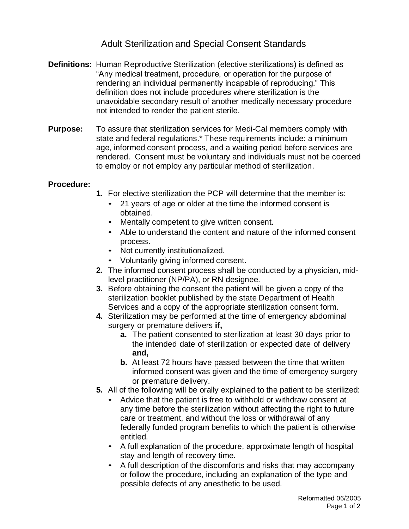## Adult Sterilization and Special Consent Standards

- **Definitions:** Human Reproductive Sterilization (elective sterilizations) is defined as "Any medical treatment, procedure, or operation for the purpose of rendering an individual permanently incapable of reproducing." This definition does not include procedures where sterilization is the unavoidable secondary result of another medically necessary procedure not intended to render the patient sterile.
- **Purpose:** To assure that sterilization services for Medi-Cal members comply with state and federal regulations.\* These requirements include: a minimum age, informed consent process, and a waiting period before services are rendered. Consent must be voluntary and individuals must not be coerced to employ or not employ any particular method of sterilization.

## **Procedure:**

- **1.** For elective sterilization the PCP will determine that the member is:
	- 21 years of age or older at the time the informed consent is obtained.
	- Mentally competent to give written consent.
	- Able to understand the content and nature of the informed consent process.
	- Not currently institutionalized.
	- Voluntarily giving informed consent.
- **2.** The informed consent process shall be conducted by a physician, midlevel practitioner (NP/PA), or RN designee.
- **3.** Before obtaining the consent the patient will be given a copy of the sterilization booklet published by the state Department of Health Services and a copy of the appropriate sterilization consent form.
- **4.** Sterilization may be performed at the time of emergency abdominal surgery or premature delivers **if,**
	- **a.** The patient consented to sterilization at least 30 days prior to the intended date of sterilization or expected date of delivery **and,**
	- **b.** At least 72 hours have passed between the time that written informed consent was given and the time of emergency surgery or premature delivery.
- **5.** All of the following will be orally explained to the patient to be sterilized:
	- Advice that the patient is free to withhold or withdraw consent at any time before the sterilization without affecting the right to future care or treatment, and without the loss or withdrawal of any federally funded program benefits to which the patient is otherwise entitled.
	- A full explanation of the procedure, approximate length of hospital stay and length of recovery time.
	- A full description of the discomforts and risks that may accompany or follow the procedure, including an explanation of the type and possible defects of any anesthetic to be used.